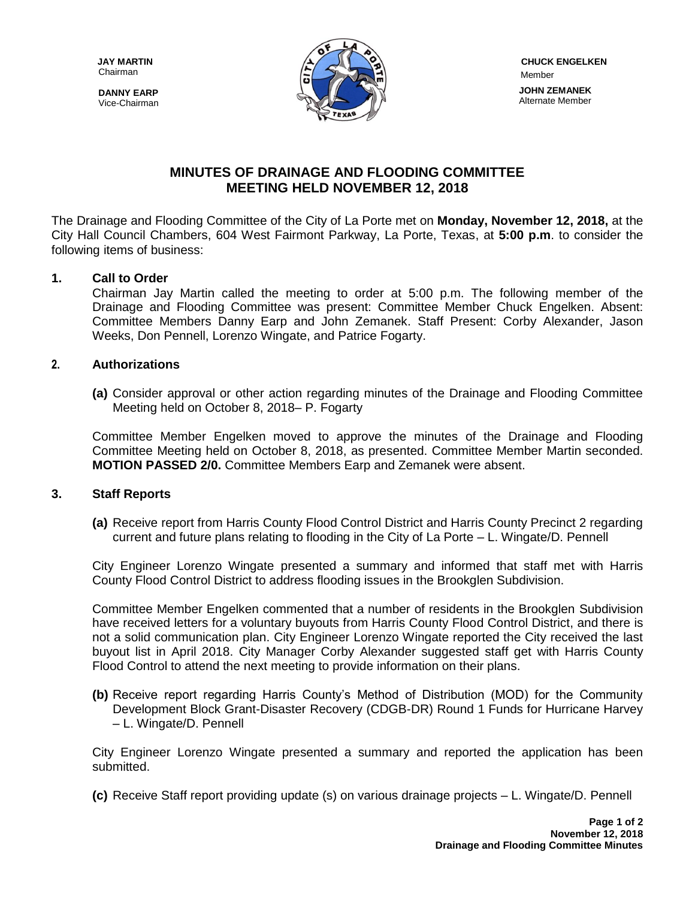Chairman

**DANNY EARP** Vice-Chairman



# **MINUTES OF DRAINAGE AND FLOODING COMMITTEE MEETING HELD NOVEMBER 12, 2018**

The Drainage and Flooding Committee of the City of La Porte met on **Monday, November 12, 2018,** at the City Hall Council Chambers, 604 West Fairmont Parkway, La Porte, Texas, at **5:00 p.m**. to consider the following items of business:

## **1. Call to Order**

Chairman Jay Martin called the meeting to order at 5:00 p.m. The following member of the Drainage and Flooding Committee was present: Committee Member Chuck Engelken. Absent: Committee Members Danny Earp and John Zemanek. Staff Present: Corby Alexander, Jason Weeks, Don Pennell, Lorenzo Wingate, and Patrice Fogarty.

#### **2. Authorizations**

**(a)** Consider approval or other action regarding minutes of the Drainage and Flooding Committee Meeting held on October 8, 2018– P. Fogarty

Committee Member Engelken moved to approve the minutes of the Drainage and Flooding Committee Meeting held on October 8, 2018, as presented. Committee Member Martin seconded. **MOTION PASSED 2/0.** Committee Members Earp and Zemanek were absent.

#### **3. Staff Reports**

**(a)** Receive report from Harris County Flood Control District and Harris County Precinct 2 regarding current and future plans relating to flooding in the City of La Porte – L. Wingate/D. Pennell

City Engineer Lorenzo Wingate presented a summary and informed that staff met with Harris County Flood Control District to address flooding issues in the Brookglen Subdivision.

Committee Member Engelken commented that a number of residents in the Brookglen Subdivision have received letters for a voluntary buyouts from Harris County Flood Control District, and there is not a solid communication plan. City Engineer Lorenzo Wingate reported the City received the last buyout list in April 2018. City Manager Corby Alexander suggested staff get with Harris County Flood Control to attend the next meeting to provide information on their plans.

**(b)** Receive report regarding Harris County's Method of Distribution (MOD) for the Community Development Block Grant-Disaster Recovery (CDGB-DR) Round 1 Funds for Hurricane Harvey – L. Wingate/D. Pennell

City Engineer Lorenzo Wingate presented a summary and reported the application has been submitted.

**(c)** Receive Staff report providing update (s) on various drainage projects – L. Wingate/D. Pennell